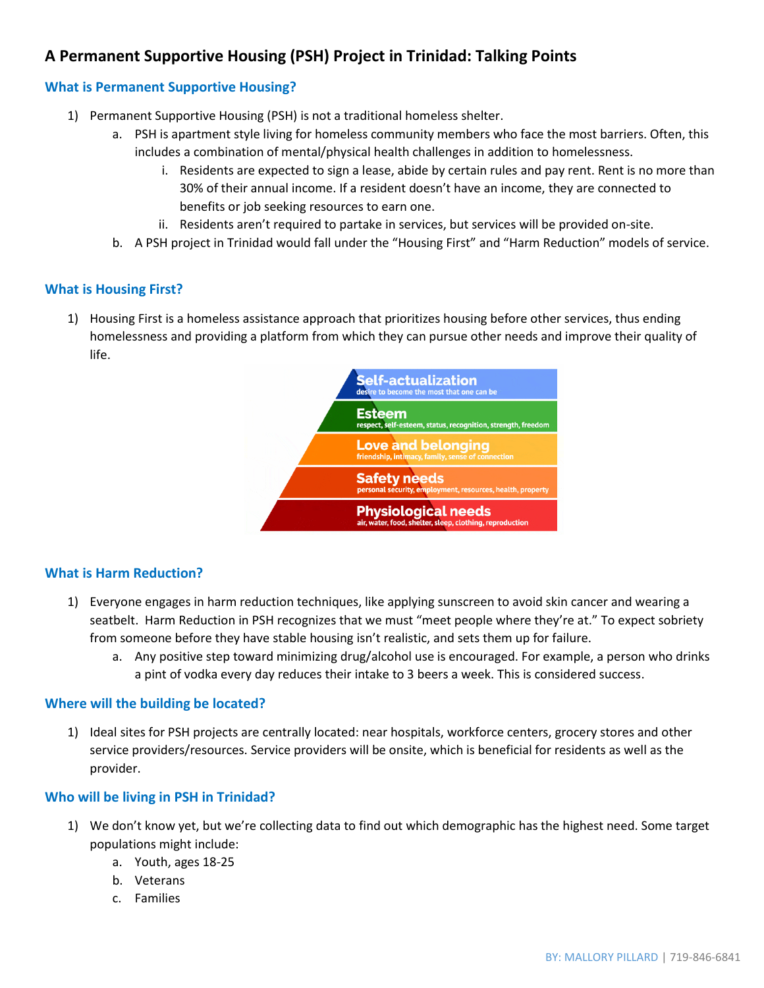# **A Permanent Supportive Housing (PSH) Project in Trinidad: Talking Points**

# **What is Permanent Supportive Housing?**

- 1) Permanent Supportive Housing (PSH) is not a traditional homeless shelter.
	- a. PSH is apartment style living for homeless community members who face the most barriers. Often, this includes a combination of mental/physical health challenges in addition to homelessness.
		- i. Residents are expected to sign a lease, abide by certain rules and pay rent. Rent is no more than 30% of their annual income. If a resident doesn't have an income, they are connected to benefits or job seeking resources to earn one.
		- ii. Residents aren't required to partake in services, but services will be provided on-site.
	- b. A PSH project in Trinidad would fall under the "Housing First" and "Harm Reduction" models of service.

## **What is Housing First?**

1) Housing First is a homeless assistance approach that prioritizes housing before other services, thus ending homelessness and providing a platform from which they can pursue other needs and improve their quality of life.



## **What is Harm Reduction?**

- 1) Everyone engages in harm reduction techniques, like applying sunscreen to avoid skin cancer and wearing a seatbelt. Harm Reduction in PSH recognizes that we must "meet people where they're at." To expect sobriety from someone before they have stable housing isn't realistic, and sets them up for failure.
	- a. Any positive step toward minimizing drug/alcohol use is encouraged. For example, a person who drinks a pint of vodka every day reduces their intake to 3 beers a week. This is considered success.

#### **Where will the building be located?**

1) Ideal sites for PSH projects are centrally located: near hospitals, workforce centers, grocery stores and other service providers/resources. Service providers will be onsite, which is beneficial for residents as well as the provider.

#### **Who will be living in PSH in Trinidad?**

- 1) We don't know yet, but we're collecting data to find out which demographic has the highest need. Some target populations might include:
	- a. Youth, ages 18-25
	- b. Veterans
	- c. Families